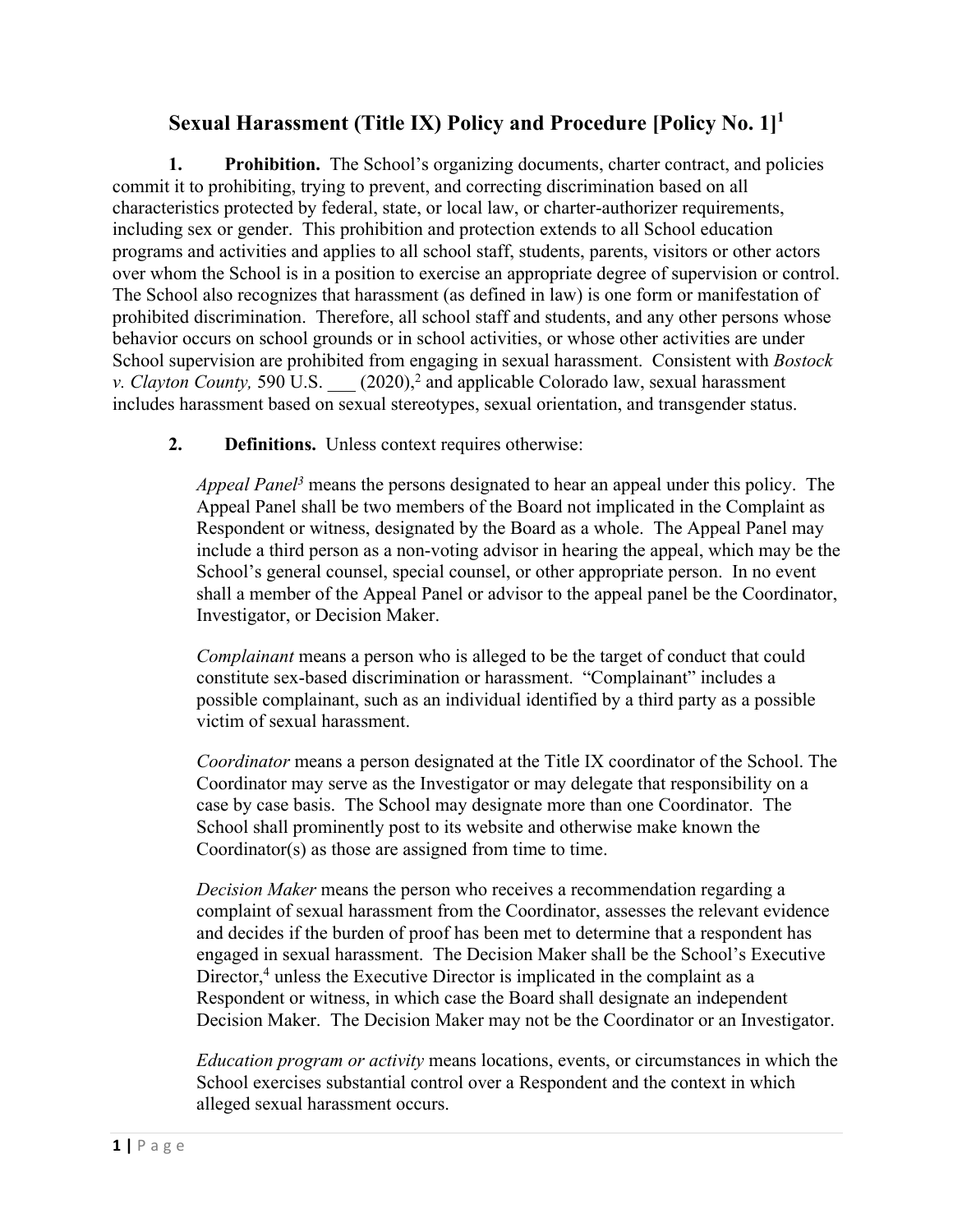# **Sexual Harassment (Title IX) Policy and Procedure [Policy No. 1] 1**

**1. Prohibition.** The School's organizing documents, charter contract, and policies commit it to prohibiting, trying to prevent, and correcting discrimination based on all characteristics protected by federal, state, or local law, or charter-authorizer requirements, including sex or gender. This prohibition and protection extends to all School education programs and activities and applies to all school staff, students, parents, visitors or other actors over whom the School is in a position to exercise an appropriate degree of supervision or control. The School also recognizes that harassment (as defined in law) is one form or manifestation of prohibited discrimination. Therefore, all school staff and students, and any other persons whose behavior occurs on school grounds or in school activities, or whose other activities are under School supervision are prohibited from engaging in sexual harassment. Consistent with *Bostock v. Clayton County,* 590 U.S.  $(2020)^2$  and applicable Colorado law, sexual harassment includes harassment based on sexual stereotypes, sexual orientation, and transgender status.

**2. Definitions.** Unless context requires otherwise:

*Appeal Panel3* means the persons designated to hear an appeal under this policy. The Appeal Panel shall be two members of the Board not implicated in the Complaint as Respondent or witness, designated by the Board as a whole. The Appeal Panel may include a third person as a non-voting advisor in hearing the appeal, which may be the School's general counsel, special counsel, or other appropriate person. In no event shall a member of the Appeal Panel or advisor to the appeal panel be the Coordinator, Investigator, or Decision Maker.

*Complainant* means a person who is alleged to be the target of conduct that could constitute sex-based discrimination or harassment. "Complainant" includes a possible complainant, such as an individual identified by a third party as a possible victim of sexual harassment.

*Coordinator* means a person designated at the Title IX coordinator of the School. The Coordinator may serve as the Investigator or may delegate that responsibility on a case by case basis. The School may designate more than one Coordinator. The School shall prominently post to its website and otherwise make known the Coordinator(s) as those are assigned from time to time.

*Decision Maker* means the person who receives a recommendation regarding a complaint of sexual harassment from the Coordinator, assesses the relevant evidence and decides if the burden of proof has been met to determine that a respondent has engaged in sexual harassment. The Decision Maker shall be the School's Executive Director,<sup>4</sup> unless the Executive Director is implicated in the complaint as a Respondent or witness, in which case the Board shall designate an independent Decision Maker. The Decision Maker may not be the Coordinator or an Investigator.

*Education program or activity* means locations, events, or circumstances in which the School exercises substantial control over a Respondent and the context in which alleged sexual harassment occurs.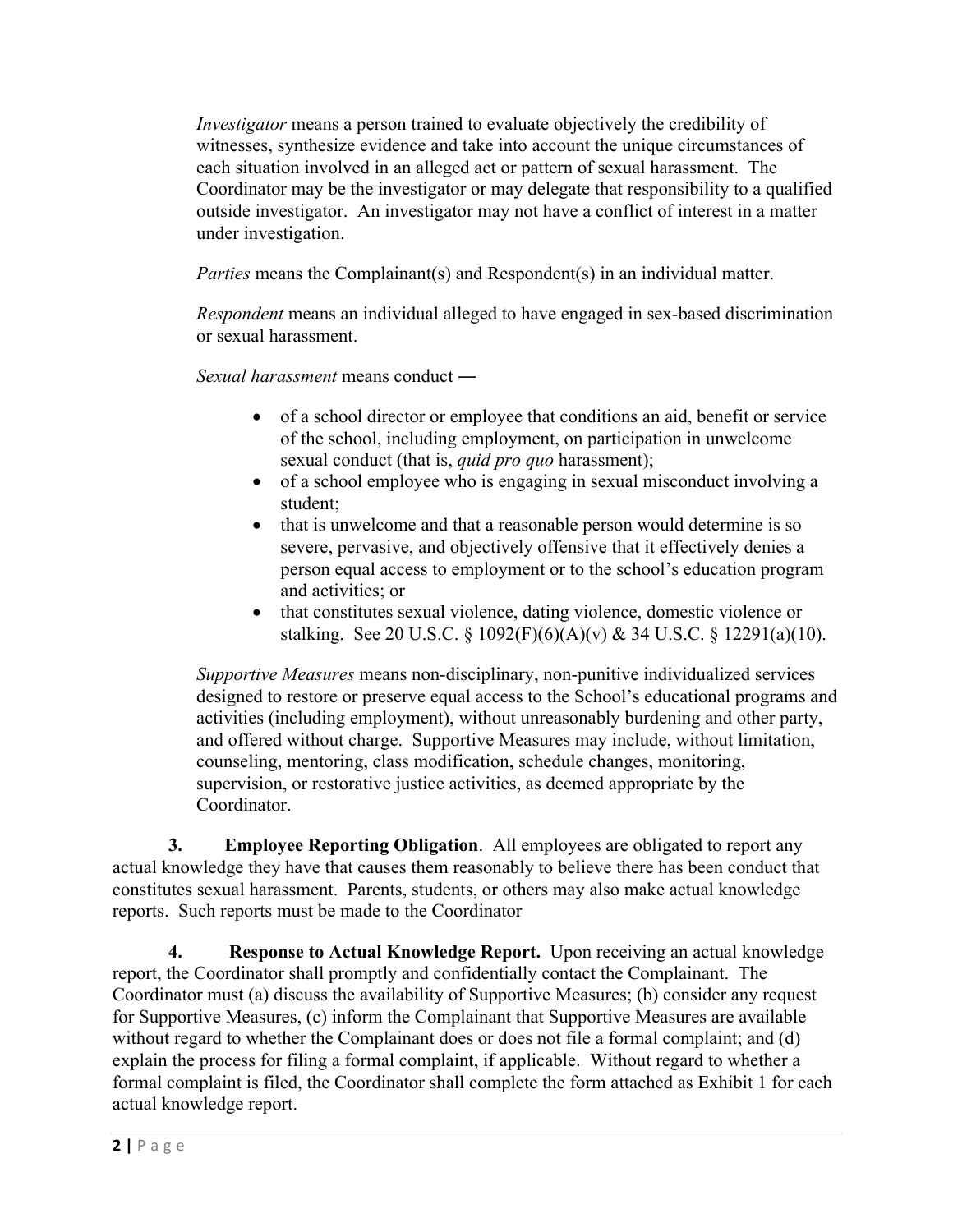*Investigator* means a person trained to evaluate objectively the credibility of witnesses, synthesize evidence and take into account the unique circumstances of each situation involved in an alleged act or pattern of sexual harassment. The Coordinator may be the investigator or may delegate that responsibility to a qualified outside investigator. An investigator may not have a conflict of interest in a matter under investigation.

*Parties* means the Complainant(s) and Respondent(s) in an individual matter.

*Respondent* means an individual alleged to have engaged in sex-based discrimination or sexual harassment.

*Sexual harassment* means conduct ―

- of a school director or employee that conditions an aid, benefit or service of the school, including employment, on participation in unwelcome sexual conduct (that is, *quid pro quo* harassment);
- of a school employee who is engaging in sexual misconduct involving a student;
- that is unwelcome and that a reasonable person would determine is so severe, pervasive, and objectively offensive that it effectively denies a person equal access to employment or to the school's education program and activities; or
- that constitutes sexual violence, dating violence, domestic violence or stalking. See 20 U.S.C. § 1092(F)(6)(A)(v) & 34 U.S.C. § 12291(a)(10).

*Supportive Measures* means non-disciplinary, non-punitive individualized services designed to restore or preserve equal access to the School's educational programs and activities (including employment), without unreasonably burdening and other party, and offered without charge. Supportive Measures may include, without limitation, counseling, mentoring, class modification, schedule changes, monitoring, supervision, or restorative justice activities, as deemed appropriate by the Coordinator.

**3. Employee Reporting Obligation**. All employees are obligated to report any actual knowledge they have that causes them reasonably to believe there has been conduct that constitutes sexual harassment. Parents, students, or others may also make actual knowledge reports. Such reports must be made to the Coordinator

**4. Response to Actual Knowledge Report.** Upon receiving an actual knowledge report, the Coordinator shall promptly and confidentially contact the Complainant. The Coordinator must (a) discuss the availability of Supportive Measures; (b) consider any request for Supportive Measures, (c) inform the Complainant that Supportive Measures are available without regard to whether the Complainant does or does not file a formal complaint; and (d) explain the process for filing a formal complaint, if applicable. Without regard to whether a formal complaint is filed, the Coordinator shall complete the form attached as Exhibit 1 for each actual knowledge report.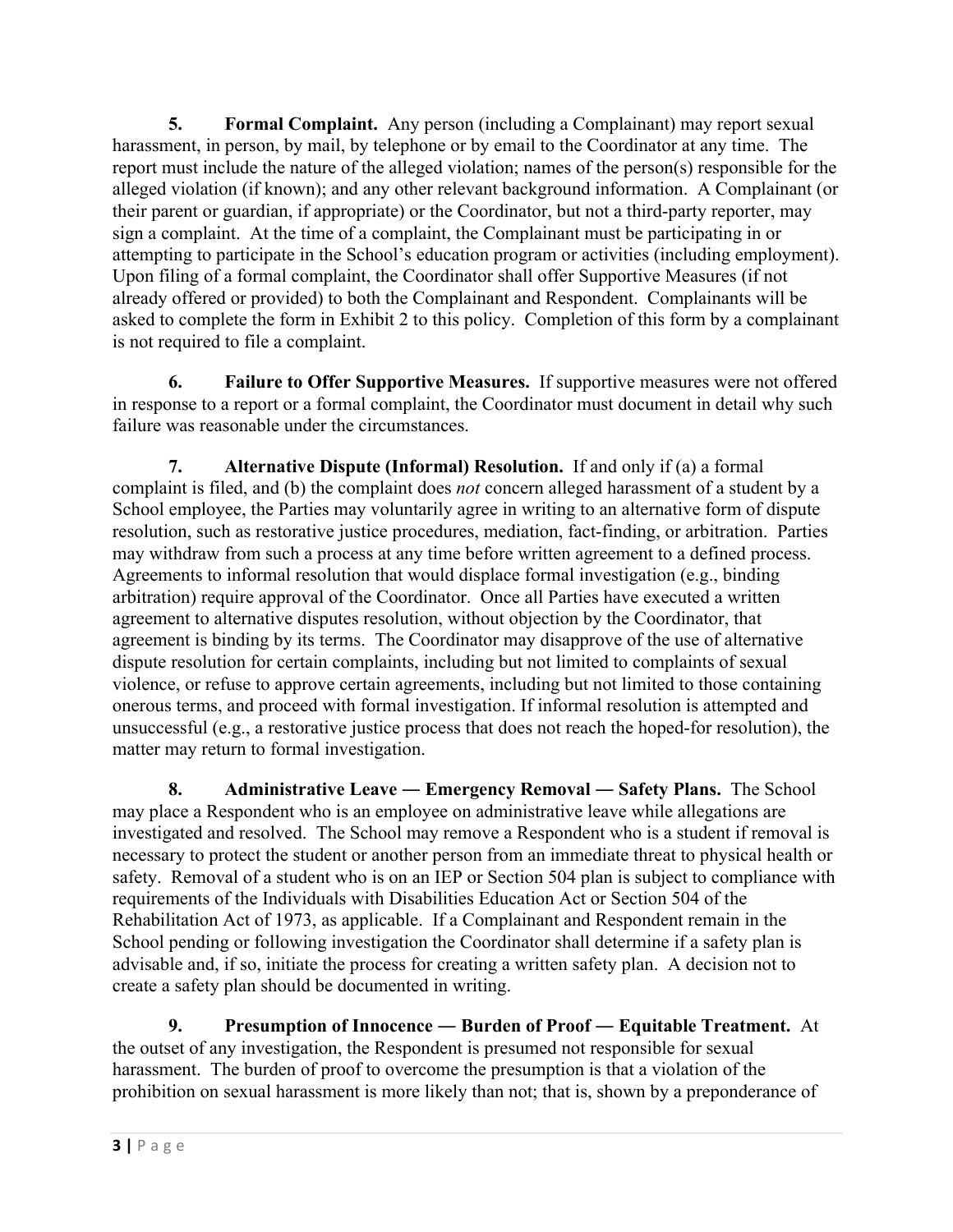**5. Formal Complaint.** Any person (including a Complainant) may report sexual harassment, in person, by mail, by telephone or by email to the Coordinator at any time. The report must include the nature of the alleged violation; names of the person(s) responsible for the alleged violation (if known); and any other relevant background information. A Complainant (or their parent or guardian, if appropriate) or the Coordinator, but not a third-party reporter, may sign a complaint. At the time of a complaint, the Complainant must be participating in or attempting to participate in the School's education program or activities (including employment). Upon filing of a formal complaint, the Coordinator shall offer Supportive Measures (if not already offered or provided) to both the Complainant and Respondent. Complainants will be asked to complete the form in Exhibit 2 to this policy. Completion of this form by a complainant is not required to file a complaint.

**6. Failure to Offer Supportive Measures.** If supportive measures were not offered in response to a report or a formal complaint, the Coordinator must document in detail why such failure was reasonable under the circumstances.

**7. Alternative Dispute (Informal) Resolution.** If and only if (a) a formal complaint is filed, and (b) the complaint does *not* concern alleged harassment of a student by a School employee, the Parties may voluntarily agree in writing to an alternative form of dispute resolution, such as restorative justice procedures, mediation, fact-finding, or arbitration. Parties may withdraw from such a process at any time before written agreement to a defined process. Agreements to informal resolution that would displace formal investigation (e.g., binding arbitration) require approval of the Coordinator. Once all Parties have executed a written agreement to alternative disputes resolution, without objection by the Coordinator, that agreement is binding by its terms. The Coordinator may disapprove of the use of alternative dispute resolution for certain complaints, including but not limited to complaints of sexual violence, or refuse to approve certain agreements, including but not limited to those containing onerous terms, and proceed with formal investigation. If informal resolution is attempted and unsuccessful (e.g., a restorative justice process that does not reach the hoped-for resolution), the matter may return to formal investigation.

**8. Administrative Leave ― Emergency Removal ― Safety Plans.** The School may place a Respondent who is an employee on administrative leave while allegations are investigated and resolved. The School may remove a Respondent who is a student if removal is necessary to protect the student or another person from an immediate threat to physical health or safety. Removal of a student who is on an IEP or Section 504 plan is subject to compliance with requirements of the Individuals with Disabilities Education Act or Section 504 of the Rehabilitation Act of 1973, as applicable. If a Complainant and Respondent remain in the School pending or following investigation the Coordinator shall determine if a safety plan is advisable and, if so, initiate the process for creating a written safety plan. A decision not to create a safety plan should be documented in writing.

**9. Presumption of Innocence ― Burden of Proof ― Equitable Treatment.** At the outset of any investigation, the Respondent is presumed not responsible for sexual harassment.The burden of proof to overcome the presumption is that a violation of the prohibition on sexual harassment is more likely than not; that is, shown by a preponderance of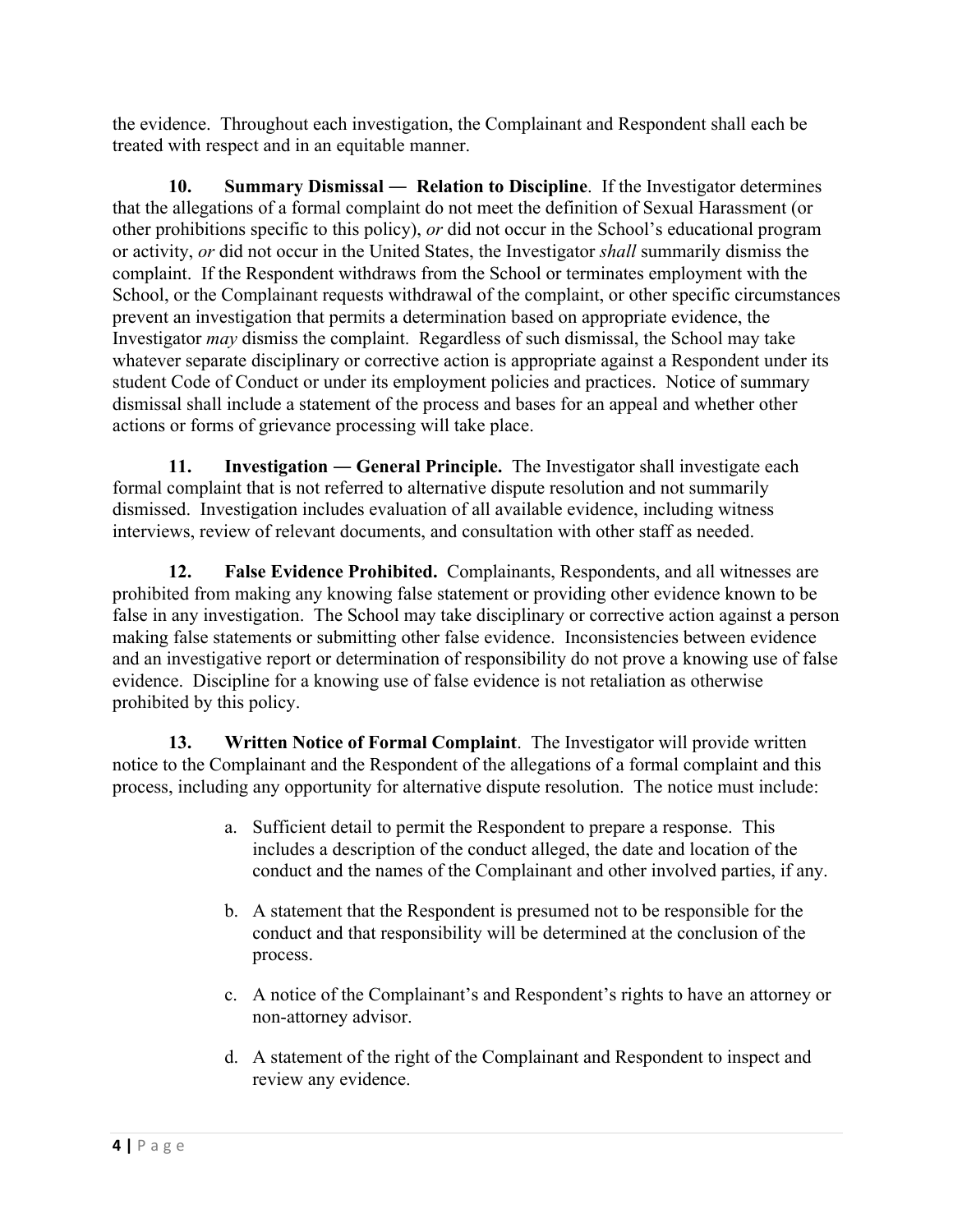the evidence. Throughout each investigation, the Complainant and Respondent shall each be treated with respect and in an equitable manner.

**10. Summary Dismissal ― Relation to Discipline**. If the Investigator determines that the allegations of a formal complaint do not meet the definition of Sexual Harassment (or other prohibitions specific to this policy), *or* did not occur in the School's educational program or activity, *or* did not occur in the United States, the Investigator *shall* summarily dismiss the complaint. If the Respondent withdraws from the School or terminates employment with the School, or the Complainant requests withdrawal of the complaint, or other specific circumstances prevent an investigation that permits a determination based on appropriate evidence, the Investigator *may* dismiss the complaint. Regardless of such dismissal, the School may take whatever separate disciplinary or corrective action is appropriate against a Respondent under its student Code of Conduct or under its employment policies and practices. Notice of summary dismissal shall include a statement of the process and bases for an appeal and whether other actions or forms of grievance processing will take place.

**11. Investigation ― General Principle.** The Investigator shall investigate each formal complaint that is not referred to alternative dispute resolution and not summarily dismissed. Investigation includes evaluation of all available evidence, including witness interviews, review of relevant documents, and consultation with other staff as needed.

**12. False Evidence Prohibited.** Complainants, Respondents, and all witnesses are prohibited from making any knowing false statement or providing other evidence known to be false in any investigation. The School may take disciplinary or corrective action against a person making false statements or submitting other false evidence. Inconsistencies between evidence and an investigative report or determination of responsibility do not prove a knowing use of false evidence. Discipline for a knowing use of false evidence is not retaliation as otherwise prohibited by this policy.

**13. Written Notice of Formal Complaint**. The Investigator will provide written notice to the Complainant and the Respondent of the allegations of a formal complaint and this process, including any opportunity for alternative dispute resolution. The notice must include:

- a. Sufficient detail to permit the Respondent to prepare a response. This includes a description of the conduct alleged, the date and location of the conduct and the names of the Complainant and other involved parties, if any.
- b. A statement that the Respondent is presumed not to be responsible for the conduct and that responsibility will be determined at the conclusion of the process.
- c. A notice of the Complainant's and Respondent's rights to have an attorney or non-attorney advisor.
- d. A statement of the right of the Complainant and Respondent to inspect and review any evidence.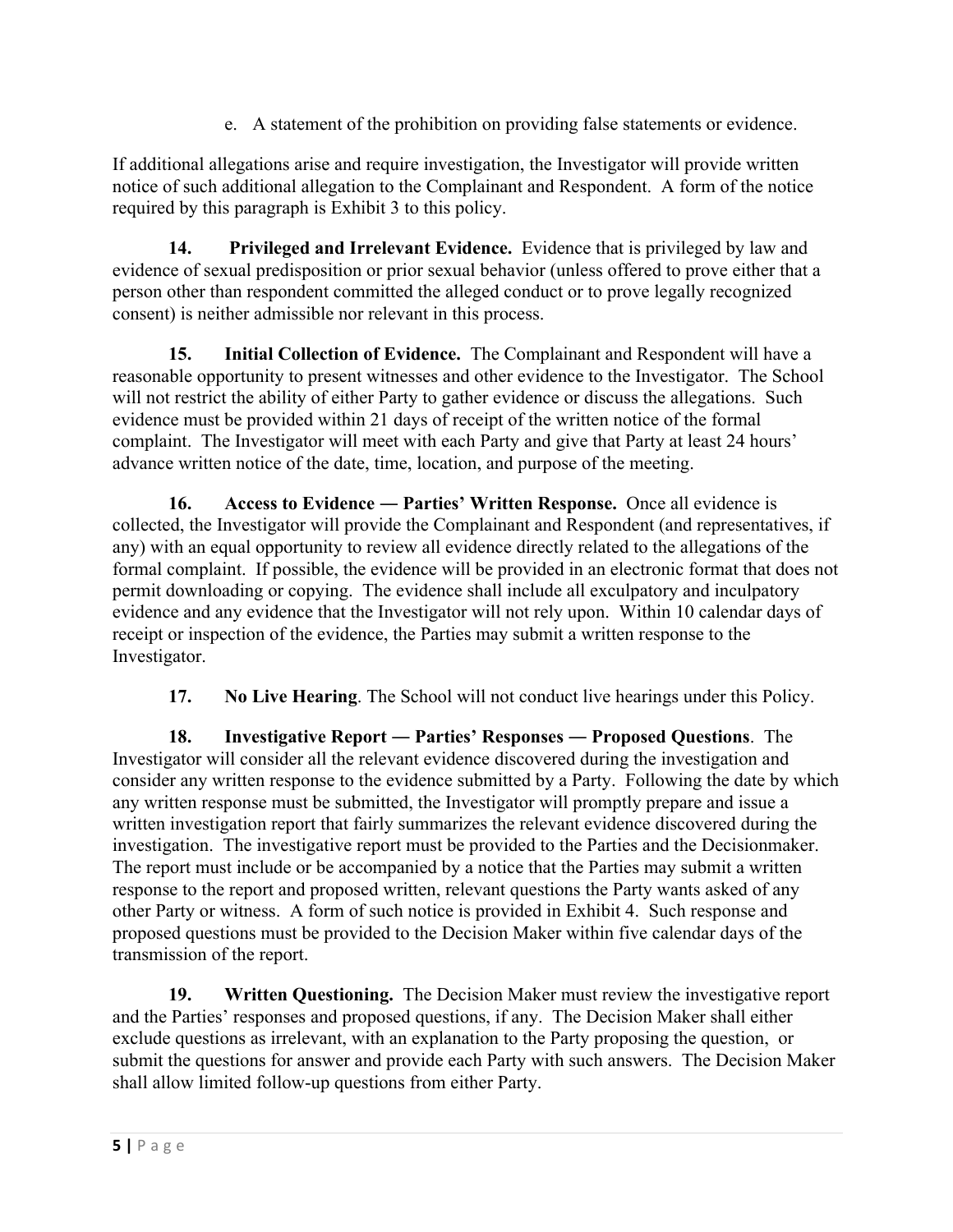e. A statement of the prohibition on providing false statements or evidence.

If additional allegations arise and require investigation, the Investigator will provide written notice of such additional allegation to the Complainant and Respondent. A form of the notice required by this paragraph is Exhibit 3 to this policy.

**14. Privileged and Irrelevant Evidence.** Evidence that is privileged by law and evidence of sexual predisposition or prior sexual behavior (unless offered to prove either that a person other than respondent committed the alleged conduct or to prove legally recognized consent) is neither admissible nor relevant in this process.

**15. Initial Collection of Evidence.** The Complainant and Respondent will have a reasonable opportunity to present witnesses and other evidence to the Investigator. The School will not restrict the ability of either Party to gather evidence or discuss the allegations. Such evidence must be provided within 21 days of receipt of the written notice of the formal complaint. The Investigator will meet with each Party and give that Party at least 24 hours' advance written notice of the date, time, location, and purpose of the meeting.

**16. Access to Evidence ― Parties' Written Response.** Once all evidence is collected, the Investigator will provide the Complainant and Respondent (and representatives, if any) with an equal opportunity to review all evidence directly related to the allegations of the formal complaint. If possible, the evidence will be provided in an electronic format that does not permit downloading or copying. The evidence shall include all exculpatory and inculpatory evidence and any evidence that the Investigator will not rely upon. Within 10 calendar days of receipt or inspection of the evidence, the Parties may submit a written response to the Investigator.

**17. No Live Hearing**. The School will not conduct live hearings under this Policy.

**18. Investigative Report ― Parties' Responses ― Proposed Questions**. The Investigator will consider all the relevant evidence discovered during the investigation and consider any written response to the evidence submitted by a Party. Following the date by which any written response must be submitted, the Investigator will promptly prepare and issue a written investigation report that fairly summarizes the relevant evidence discovered during the investigation. The investigative report must be provided to the Parties and the Decisionmaker. The report must include or be accompanied by a notice that the Parties may submit a written response to the report and proposed written, relevant questions the Party wants asked of any other Party or witness. A form of such notice is provided in Exhibit 4. Such response and proposed questions must be provided to the Decision Maker within five calendar days of the transmission of the report.

**19. Written Questioning.** The Decision Maker must review the investigative report and the Parties' responses and proposed questions, if any. The Decision Maker shall either exclude questions as irrelevant, with an explanation to the Party proposing the question, or submit the questions for answer and provide each Party with such answers. The Decision Maker shall allow limited follow-up questions from either Party.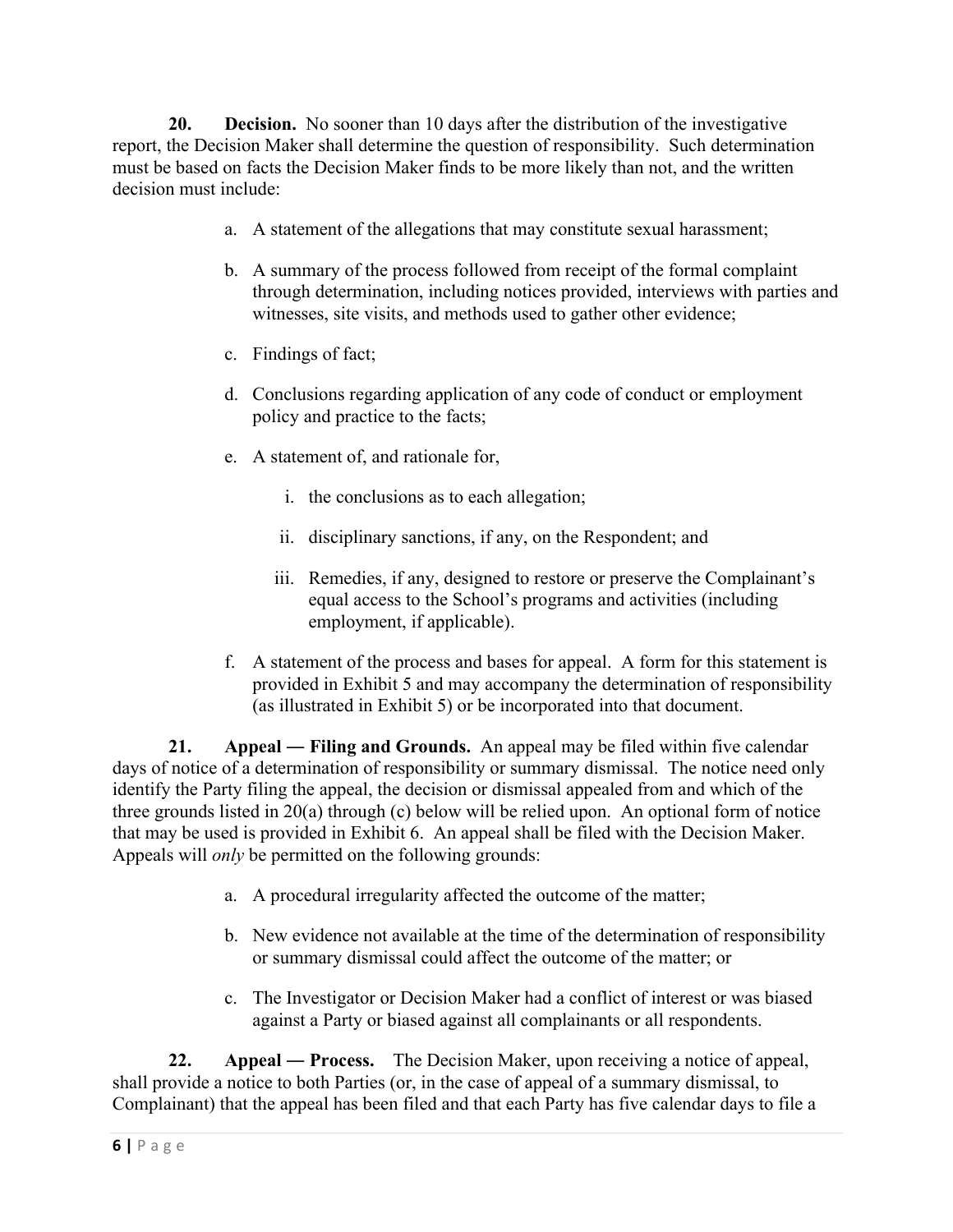**20. Decision.** No sooner than 10 days after the distribution of the investigative report, the Decision Maker shall determine the question of responsibility. Such determination must be based on facts the Decision Maker finds to be more likely than not, and the written decision must include:

- a. A statement of the allegations that may constitute sexual harassment;
- b. A summary of the process followed from receipt of the formal complaint through determination, including notices provided, interviews with parties and witnesses, site visits, and methods used to gather other evidence;
- c. Findings of fact;
- d. Conclusions regarding application of any code of conduct or employment policy and practice to the facts;
- e. A statement of, and rationale for,
	- i. the conclusions as to each allegation;
	- ii. disciplinary sanctions, if any, on the Respondent; and
	- iii. Remedies, if any, designed to restore or preserve the Complainant's equal access to the School's programs and activities (including employment, if applicable).
- f. A statement of the process and bases for appeal. A form for this statement is provided in Exhibit 5 and may accompany the determination of responsibility (as illustrated in Exhibit 5) or be incorporated into that document.

**21. Appeal ― Filing and Grounds.** An appeal may be filed within five calendar days of notice of a determination of responsibility or summary dismissal. The notice need only identify the Party filing the appeal, the decision or dismissal appealed from and which of the three grounds listed in 20(a) through (c) below will be relied upon. An optional form of notice that may be used is provided in Exhibit 6. An appeal shall be filed with the Decision Maker. Appeals will *only* be permitted on the following grounds:

- a. A procedural irregularity affected the outcome of the matter;
- b. New evidence not available at the time of the determination of responsibility or summary dismissal could affect the outcome of the matter; or
- c. The Investigator or Decision Maker had a conflict of interest or was biased against a Party or biased against all complainants or all respondents.

**22. Appeal ― Process.** The Decision Maker, upon receiving a notice of appeal, shall provide a notice to both Parties (or, in the case of appeal of a summary dismissal, to Complainant) that the appeal has been filed and that each Party has five calendar days to file a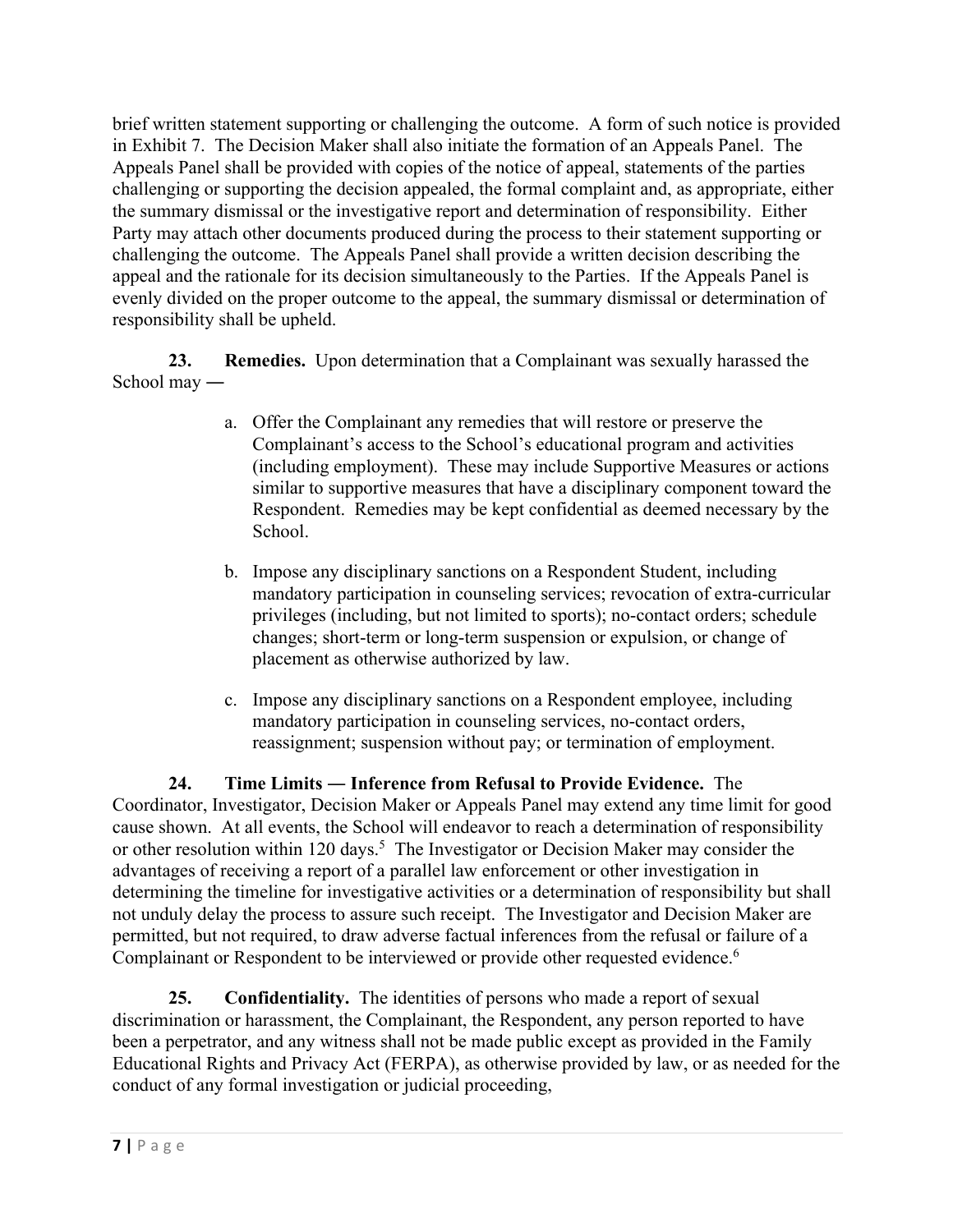brief written statement supporting or challenging the outcome. A form of such notice is provided in Exhibit 7. The Decision Maker shall also initiate the formation of an Appeals Panel. The Appeals Panel shall be provided with copies of the notice of appeal, statements of the parties challenging or supporting the decision appealed, the formal complaint and, as appropriate, either the summary dismissal or the investigative report and determination of responsibility. Either Party may attach other documents produced during the process to their statement supporting or challenging the outcome. The Appeals Panel shall provide a written decision describing the appeal and the rationale for its decision simultaneously to the Parties. If the Appeals Panel is evenly divided on the proper outcome to the appeal, the summary dismissal or determination of responsibility shall be upheld.

**23. Remedies.** Upon determination that a Complainant was sexually harassed the School may ―

- a. Offer the Complainant any remedies that will restore or preserve the Complainant's access to the School's educational program and activities (including employment). These may include Supportive Measures or actions similar to supportive measures that have a disciplinary component toward the Respondent. Remedies may be kept confidential as deemed necessary by the School.
- b. Impose any disciplinary sanctions on a Respondent Student, including mandatory participation in counseling services; revocation of extra-curricular privileges (including, but not limited to sports); no-contact orders; schedule changes; short-term or long-term suspension or expulsion, or change of placement as otherwise authorized by law.
- c. Impose any disciplinary sanctions on a Respondent employee, including mandatory participation in counseling services, no-contact orders, reassignment; suspension without pay; or termination of employment.

**24. Time Limits ― Inference from Refusal to Provide Evidence.** The Coordinator, Investigator, Decision Maker or Appeals Panel may extend any time limit for good cause shown. At all events, the School will endeavor to reach a determination of responsibility or other resolution within 120 days.<sup>5</sup> The Investigator or Decision Maker may consider the advantages of receiving a report of a parallel law enforcement or other investigation in determining the timeline for investigative activities or a determination of responsibility but shall not unduly delay the process to assure such receipt. The Investigator and Decision Maker are permitted, but not required, to draw adverse factual inferences from the refusal or failure of a Complainant or Respondent to be interviewed or provide other requested evidence.<sup>6</sup>

**25. Confidentiality.** The identities of persons who made a report of sexual discrimination or harassment, the Complainant, the Respondent, any person reported to have been a perpetrator, and any witness shall not be made public except as provided in the Family Educational Rights and Privacy Act (FERPA), as otherwise provided by law, or as needed for the conduct of any formal investigation or judicial proceeding,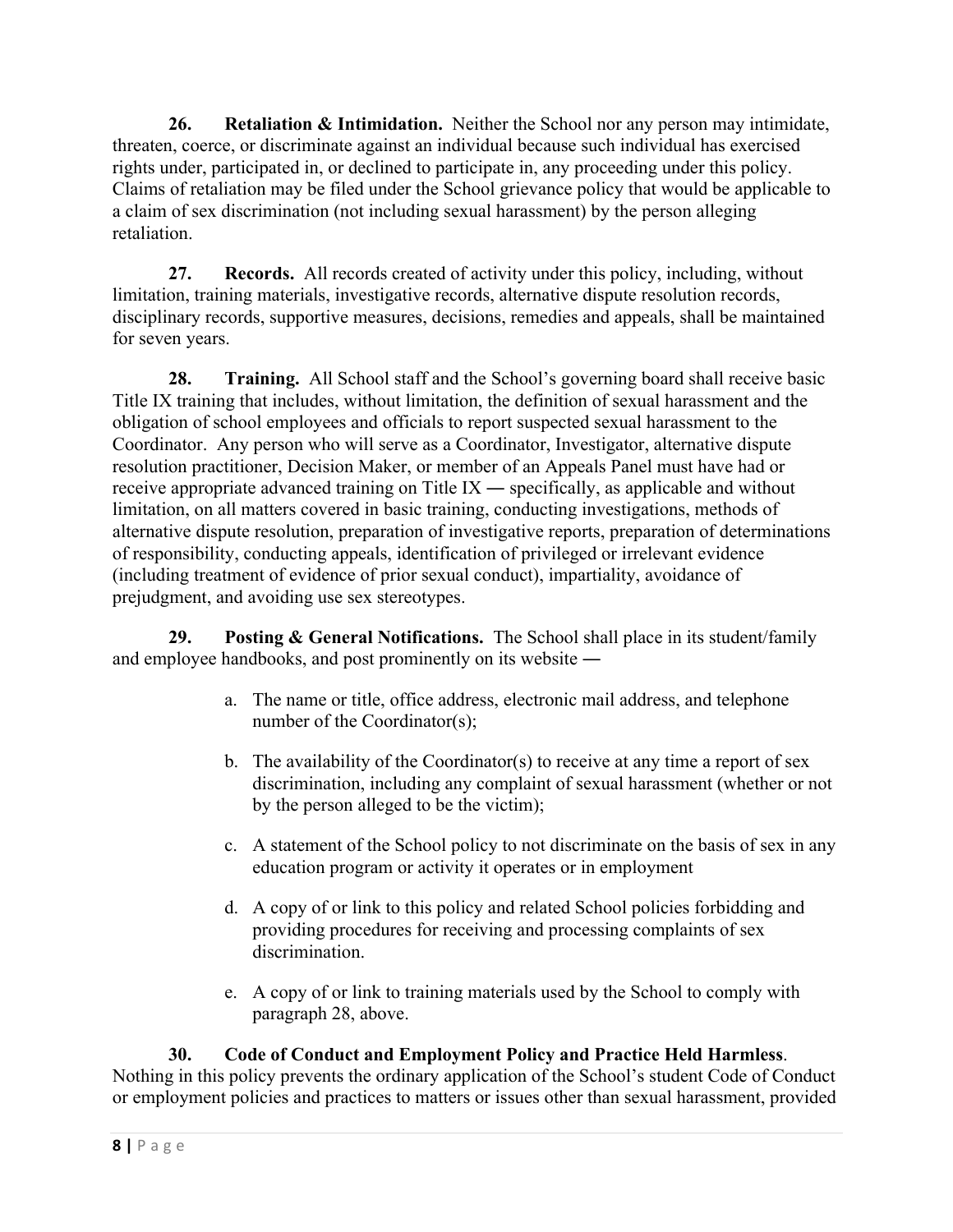**26. Retaliation & Intimidation.** Neither the School nor any person may intimidate, threaten, coerce, or discriminate against an individual because such individual has exercised rights under, participated in, or declined to participate in, any proceeding under this policy. Claims of retaliation may be filed under the School grievance policy that would be applicable to a claim of sex discrimination (not including sexual harassment) by the person alleging retaliation.

**27. Records.** All records created of activity under this policy, including, without limitation, training materials, investigative records, alternative dispute resolution records, disciplinary records, supportive measures, decisions, remedies and appeals, shall be maintained for seven years.

**28. Training.** All School staff and the School's governing board shall receive basic Title IX training that includes, without limitation, the definition of sexual harassment and the obligation of school employees and officials to report suspected sexual harassment to the Coordinator. Any person who will serve as a Coordinator, Investigator, alternative dispute resolution practitioner, Decision Maker, or member of an Appeals Panel must have had or receive appropriate advanced training on Title IX ― specifically, as applicable and without limitation, on all matters covered in basic training, conducting investigations, methods of alternative dispute resolution, preparation of investigative reports, preparation of determinations of responsibility, conducting appeals, identification of privileged or irrelevant evidence (including treatment of evidence of prior sexual conduct), impartiality, avoidance of prejudgment, and avoiding use sex stereotypes.

**29. Posting & General Notifications.** The School shall place in its student/family and employee handbooks, and post prominently on its website ―

- a. The name or title, office address, electronic mail address, and telephone number of the Coordinator(s);
- b. The availability of the Coordinator(s) to receive at any time a report of sex discrimination, including any complaint of sexual harassment (whether or not by the person alleged to be the victim);
- c. A statement of the School policy to not discriminate on the basis of sex in any education program or activity it operates or in employment
- d. A copy of or link to this policy and related School policies forbidding and providing procedures for receiving and processing complaints of sex discrimination.
- e. A copy of or link to training materials used by the School to comply with paragraph 28, above.

## **30. Code of Conduct and Employment Policy and Practice Held Harmless**.

Nothing in this policy prevents the ordinary application of the School's student Code of Conduct or employment policies and practices to matters or issues other than sexual harassment, provided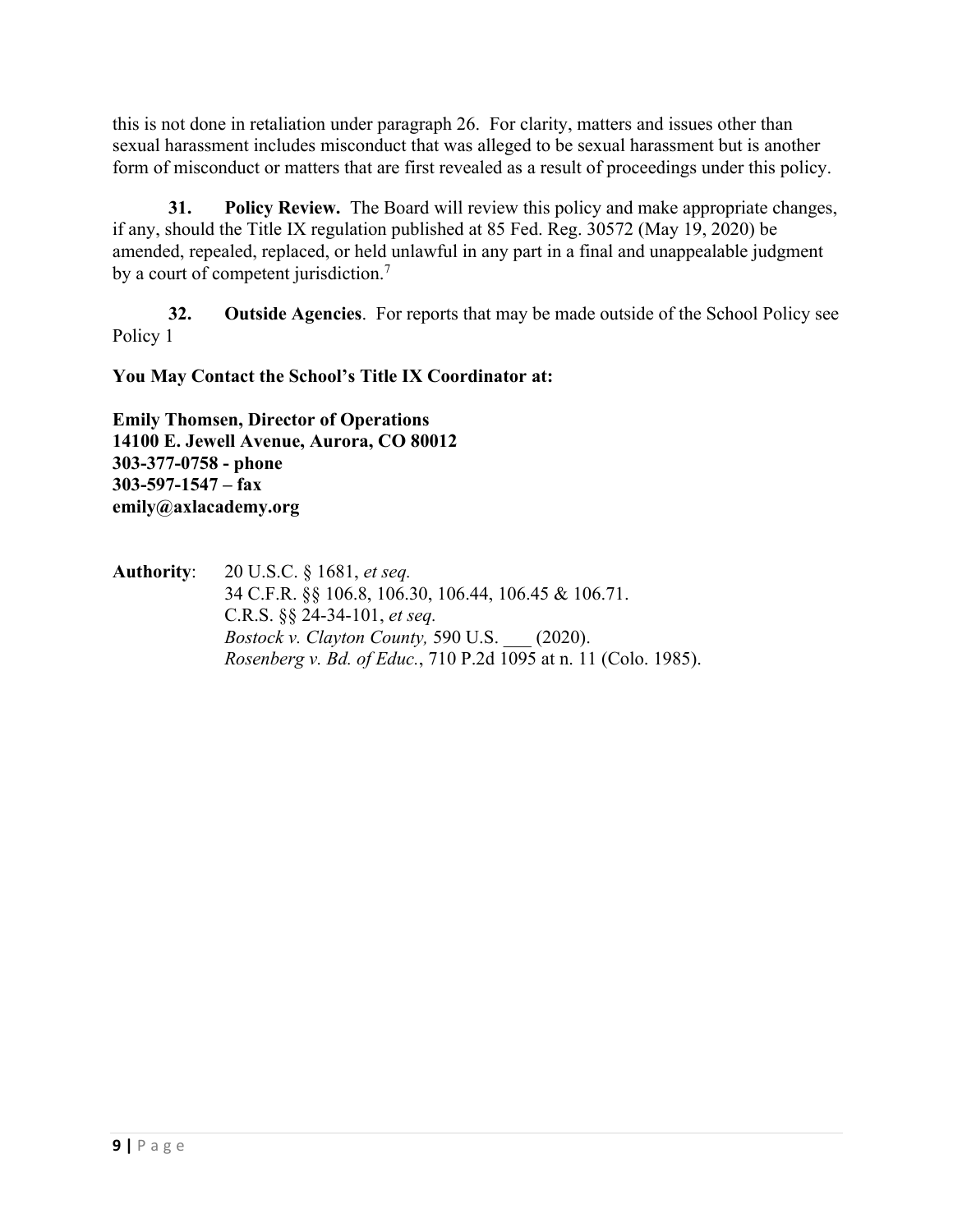this is not done in retaliation under paragraph 26.For clarity, matters and issues other than sexual harassment includes misconduct that was alleged to be sexual harassment but is another form of misconduct or matters that are first revealed as a result of proceedings under this policy.

**31. Policy Review.** The Board will review this policy and make appropriate changes, if any, should the Title IX regulation published at 85 Fed. Reg. 30572 (May 19, 2020) be amended, repealed, replaced, or held unlawful in any part in a final and unappealable judgment by a court of competent jurisdiction.<sup>7</sup>

**32. Outside Agencies**. For reports that may be made outside of the School Policy see Policy 1

**You May Contact the School's Title IX Coordinator at:**

**Emily Thomsen, Director of Operations 14100 E. Jewell Avenue, Aurora, CO 80012 303-377-0758 - phone 303-597-1547 – fax emily@axlacademy.org**

**Authority**: 20 U.S.C. § 1681, *et seq.* 34 C.F.R. §§ 106.8, 106.30, 106.44, 106.45 & 106.71. C.R.S. §§ 24-34-101, *et seq. Bostock v. Clayton County,* 590 U.S. \_\_\_ (2020). *Rosenberg v. Bd. of Educ.*, 710 P.2d 1095 at n. 11 (Colo. 1985).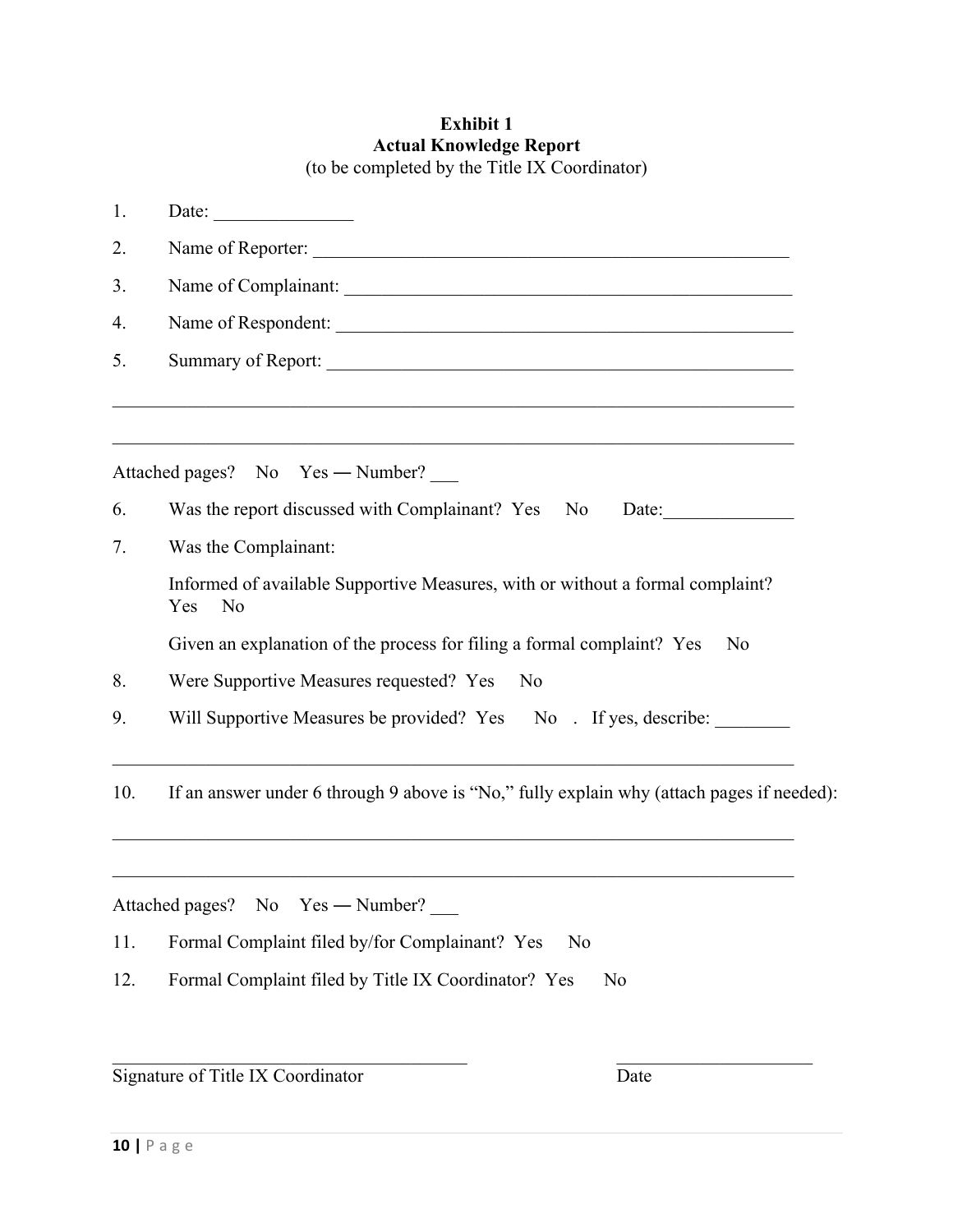#### **Exhibit 1 Actual Knowledge Report**  (to be completed by the Title IX Coordinator)

| 1.  | Date: $\qquad \qquad$                                                                       |  |  |  |  |
|-----|---------------------------------------------------------------------------------------------|--|--|--|--|
| 2.  | Name of Reporter:                                                                           |  |  |  |  |
| 3.  |                                                                                             |  |  |  |  |
| 4.  |                                                                                             |  |  |  |  |
| 5.  |                                                                                             |  |  |  |  |
|     |                                                                                             |  |  |  |  |
|     | Attached pages? No Yes — Number?                                                            |  |  |  |  |
| 6.  | Was the report discussed with Complainant? Yes No<br>Date:                                  |  |  |  |  |
| 7.  | Was the Complainant:                                                                        |  |  |  |  |
|     | Informed of available Supportive Measures, with or without a formal complaint?<br>Yes<br>No |  |  |  |  |
|     | Given an explanation of the process for filing a formal complaint? Yes<br>N <sub>o</sub>    |  |  |  |  |
| 8.  | Were Supportive Measures requested? Yes<br>No                                               |  |  |  |  |
| 9.  | Will Supportive Measures be provided? Yes No. If yes, describe:                             |  |  |  |  |
| 10. | If an answer under 6 through 9 above is "No," fully explain why (attach pages if needed):   |  |  |  |  |
|     | Attached pages? No Yes — Number?                                                            |  |  |  |  |
| 11. | Formal Complaint filed by/for Complainant? Yes<br>No                                        |  |  |  |  |
| 12. | Formal Complaint filed by Title IX Coordinator? Yes<br>No                                   |  |  |  |  |
|     |                                                                                             |  |  |  |  |

Signature of Title IX Coordinator Date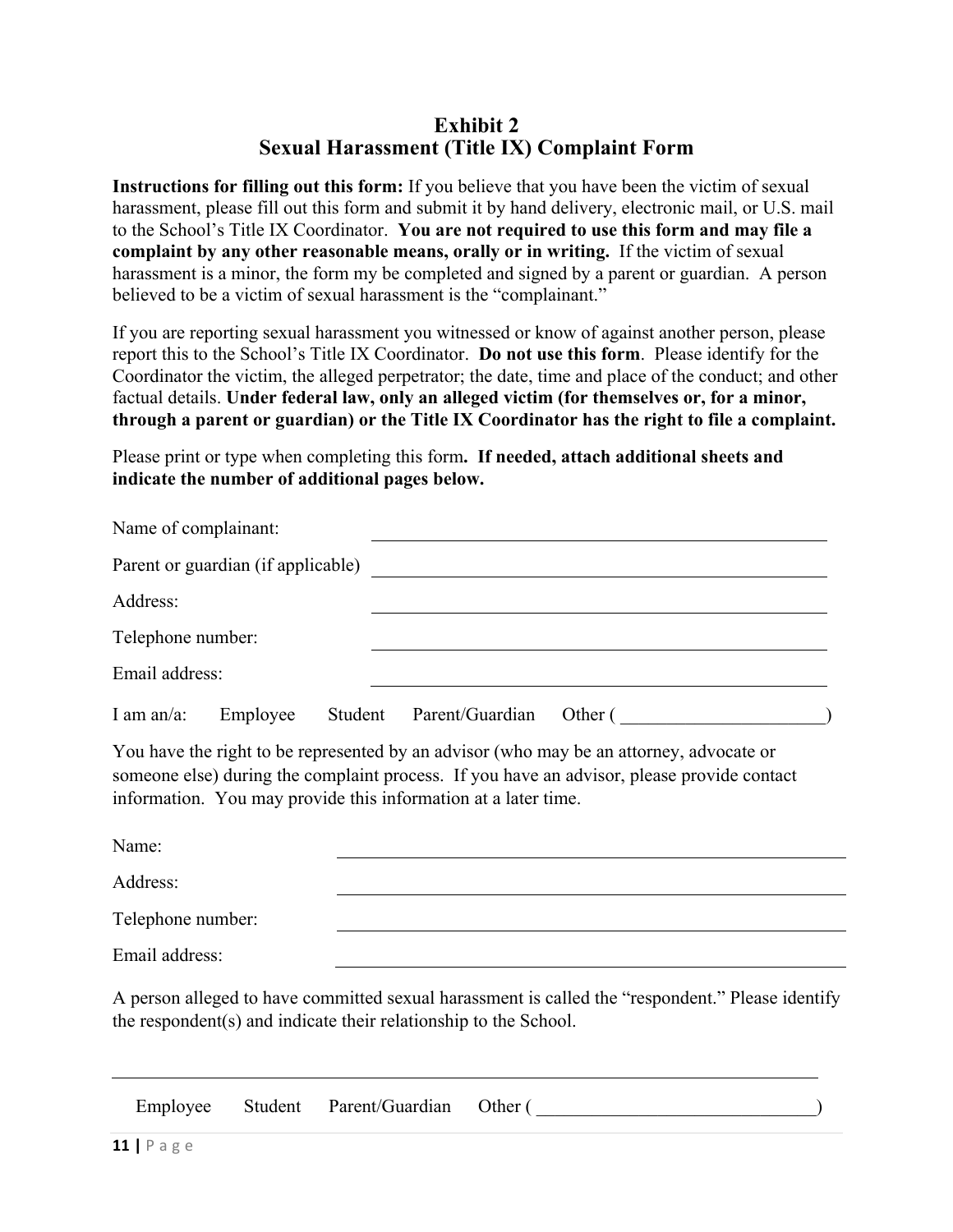#### **Exhibit 2 Sexual Harassment (Title IX) Complaint Form**

**Instructions for filling out this form:** If you believe that you have been the victim of sexual harassment, please fill out this form and submit it by hand delivery, electronic mail, or U.S. mail to the School's Title IX Coordinator. **You are not required to use this form and may file a complaint by any other reasonable means, orally or in writing.** If the victim of sexual harassment is a minor, the form my be completed and signed by a parent or guardian. A person believed to be a victim of sexual harassment is the "complainant."

If you are reporting sexual harassment you witnessed or know of against another person, please report this to the School's Title IX Coordinator. **Do not use this form**. Please identify for the Coordinator the victim, the alleged perpetrator; the date, time and place of the conduct; and other factual details. **Under federal law, only an alleged victim (for themselves or, for a minor, through a parent or guardian) or the Title IX Coordinator has the right to file a complaint.** 

Please print or type when completing this form**. If needed, attach additional sheets and indicate the number of additional pages below.**

| Name of complainant: |                                    |         |                 |         |
|----------------------|------------------------------------|---------|-----------------|---------|
|                      | Parent or guardian (if applicable) |         |                 |         |
| Address:             |                                    |         |                 |         |
| Telephone number:    |                                    |         |                 |         |
| Email address:       |                                    |         |                 |         |
| I am an/a:           | Employee                           | Student | Parent/Guardian | Other ( |

You have the right to be represented by an advisor (who may be an attorney, advocate or someone else) during the complaint process. If you have an advisor, please provide contact information. You may provide this information at a later time.

| Name:             |  |
|-------------------|--|
| Address:          |  |
| Telephone number: |  |
| Email address:    |  |

A person alleged to have committed sexual harassment is called the "respondent." Please identify the respondent(s) and indicate their relationship to the School.

| Employee | Student Parent/Guardian Other ( |  |
|----------|---------------------------------|--|
|          |                                 |  |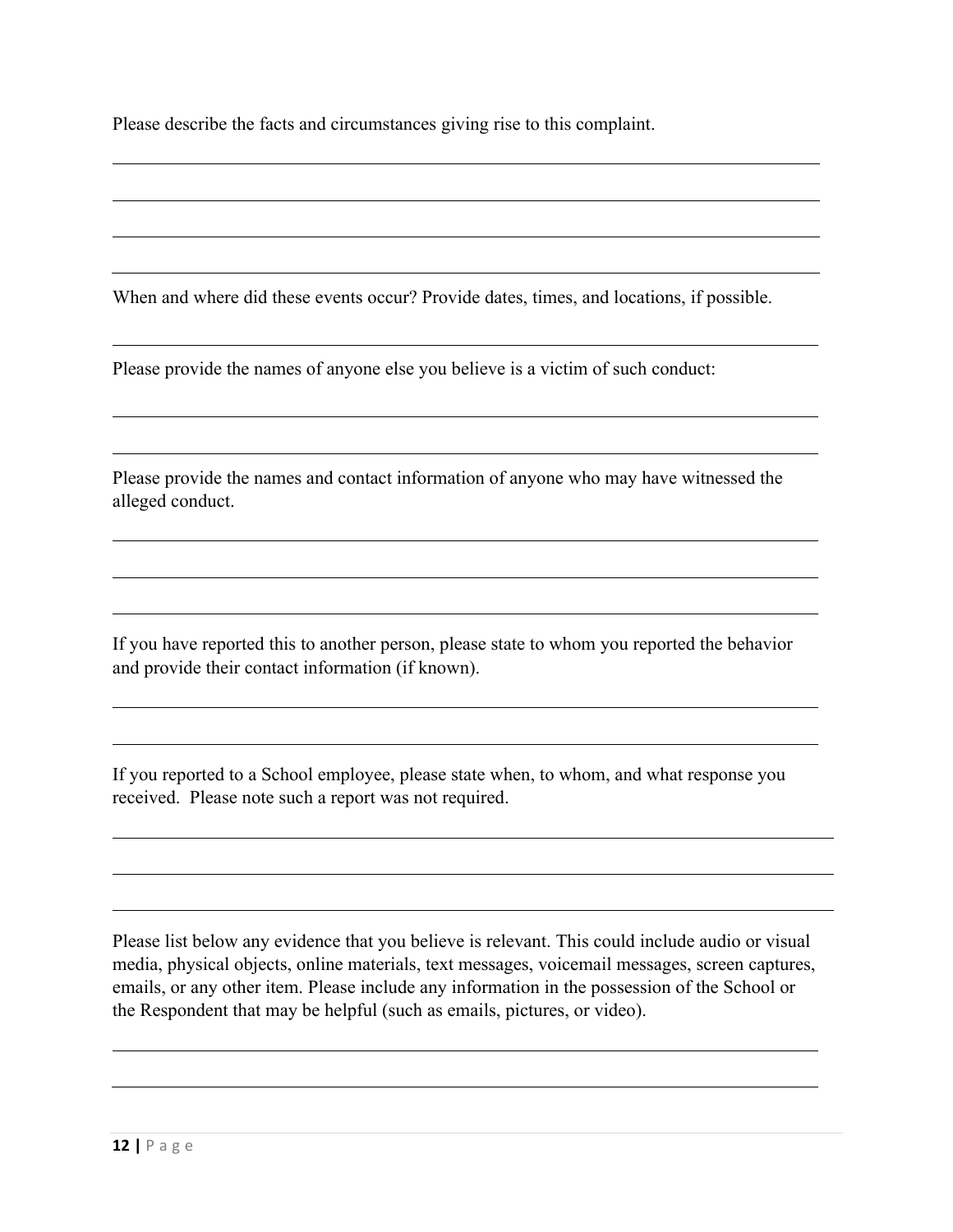Please describe the facts and circumstances giving rise to this complaint.

When and where did these events occur? Provide dates, times, and locations, if possible.

Please provide the names of anyone else you believe is a victim of such conduct:

Please provide the names and contact information of anyone who may have witnessed the alleged conduct.

If you have reported this to another person, please state to whom you reported the behavior and provide their contact information (if known).

If you reported to a School employee, please state when, to whom, and what response you received. Please note such a report was not required.

Please list below any evidence that you believe is relevant. This could include audio or visual media, physical objects, online materials, text messages, voicemail messages, screen captures, emails, or any other item. Please include any information in the possession of the School or the Respondent that may be helpful (such as emails, pictures, or video).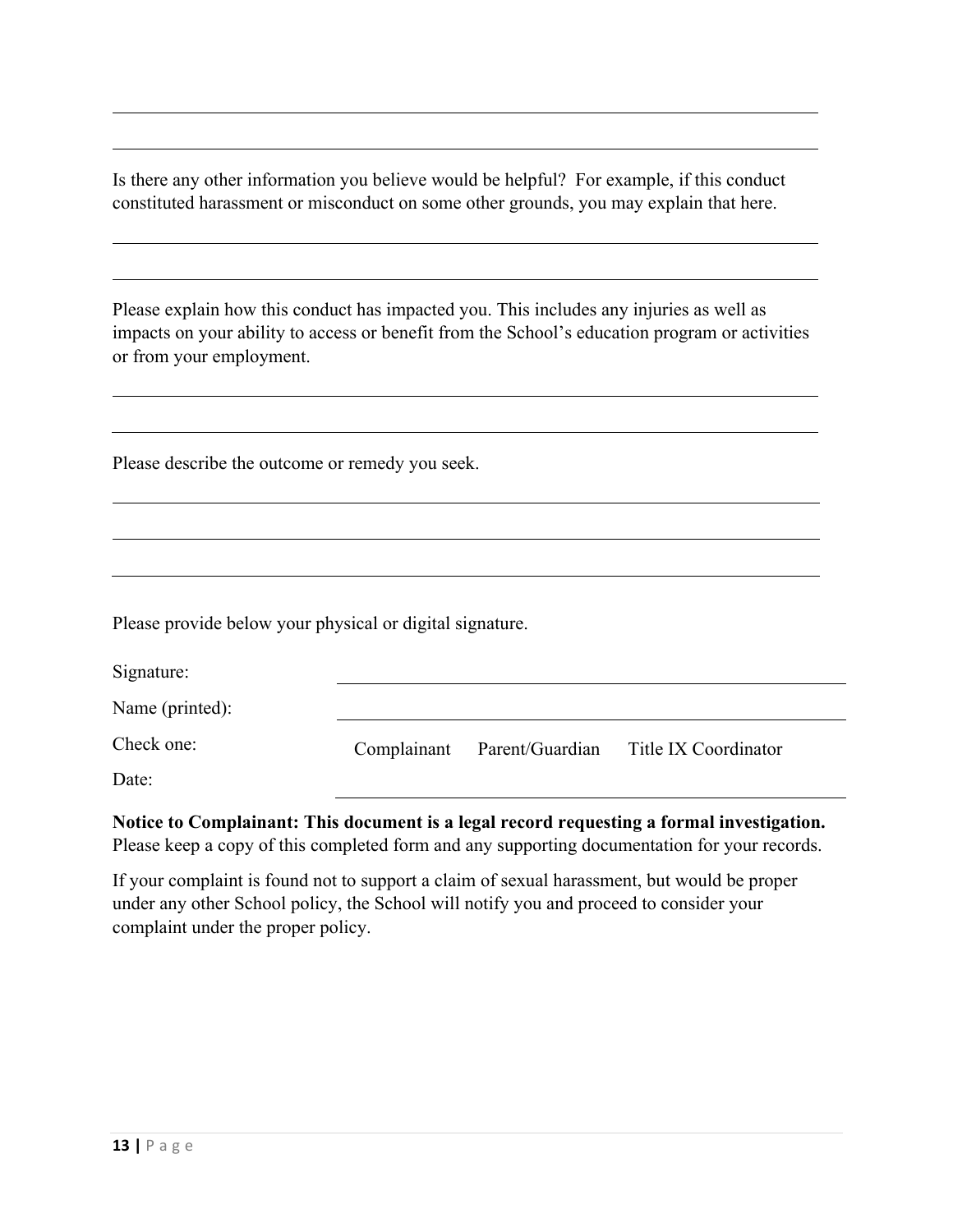Is there any other information you believe would be helpful? For example, if this conduct constituted harassment or misconduct on some other grounds, you may explain that here.

Please explain how this conduct has impacted you. This includes any injuries as well as impacts on your ability to access or benefit from the School's education program or activities or from your employment.

Please describe the outcome or remedy you seek.

Please provide below your physical or digital signature.

| Signature:      |                             |                      |
|-----------------|-----------------------------|----------------------|
| Name (printed): |                             |                      |
| Check one:      | Complainant Parent/Guardian | Title IX Coordinator |
| Date:           |                             |                      |

**Notice to Complainant: This document is a legal record requesting a formal investigation.**  Please keep a copy of this completed form and any supporting documentation for your records.

If your complaint is found not to support a claim of sexual harassment, but would be proper under any other School policy, the School will notify you and proceed to consider your complaint under the proper policy.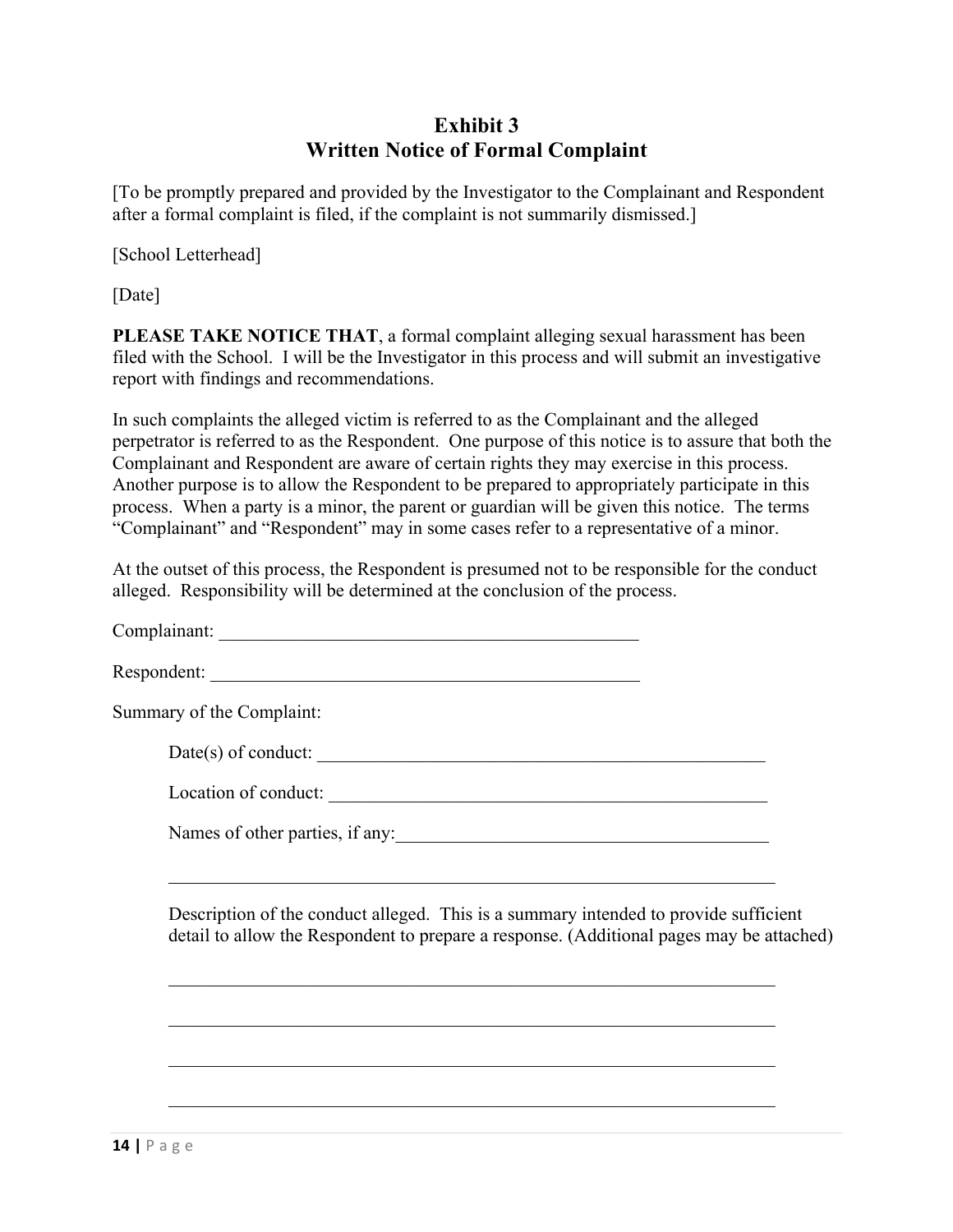## **Exhibit 3 Written Notice of Formal Complaint**

[To be promptly prepared and provided by the Investigator to the Complainant and Respondent after a formal complaint is filed, if the complaint is not summarily dismissed.]

[School Letterhead]

[Date]

**PLEASE TAKE NOTICE THAT**, a formal complaint alleging sexual harassment has been filed with the School. I will be the Investigator in this process and will submit an investigative report with findings and recommendations.

In such complaints the alleged victim is referred to as the Complainant and the alleged perpetrator is referred to as the Respondent. One purpose of this notice is to assure that both the Complainant and Respondent are aware of certain rights they may exercise in this process. Another purpose is to allow the Respondent to be prepared to appropriately participate in this process. When a party is a minor, the parent or guardian will be given this notice. The terms "Complainant" and "Respondent" may in some cases refer to a representative of a minor.

At the outset of this process, the Respondent is presumed not to be responsible for the conduct alleged. Responsibility will be determined at the conclusion of the process.

| Summary of the Complaint:                                                                                                                                                        |  |
|----------------------------------------------------------------------------------------------------------------------------------------------------------------------------------|--|
| $Date(s)$ of conduct: $\_\_$                                                                                                                                                     |  |
|                                                                                                                                                                                  |  |
| Names of other parties, if any:                                                                                                                                                  |  |
| Description of the conduct alleged. This is a summary intended to provide sufficient<br>detail to allow the Respondent to prepare a response. (Additional pages may be attached) |  |
|                                                                                                                                                                                  |  |

 $\_$  , and the set of the set of the set of the set of the set of the set of the set of the set of the set of the set of the set of the set of the set of the set of the set of the set of the set of the set of the set of th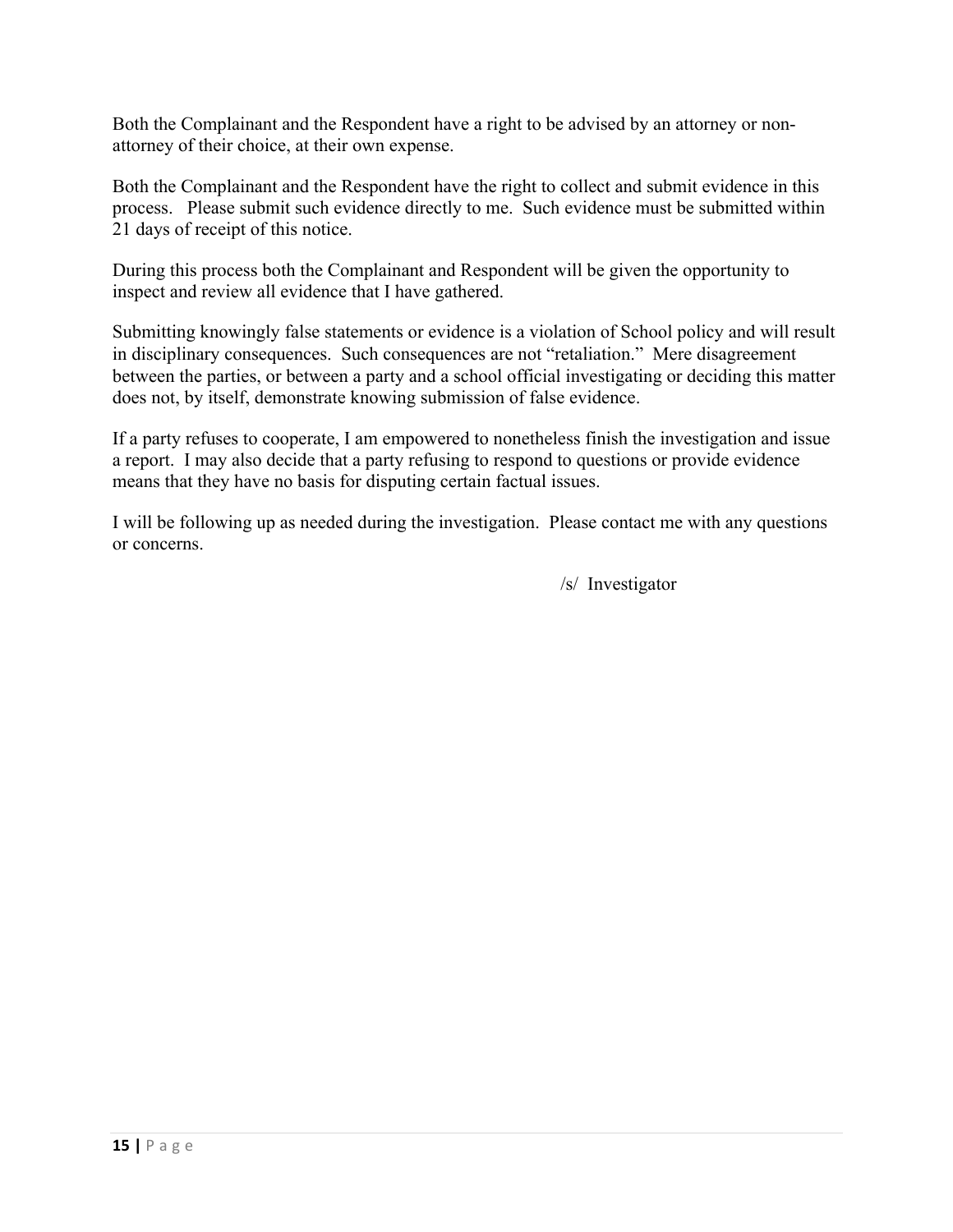Both the Complainant and the Respondent have a right to be advised by an attorney or nonattorney of their choice, at their own expense.

Both the Complainant and the Respondent have the right to collect and submit evidence in this process. Please submit such evidence directly to me. Such evidence must be submitted within 21 days of receipt of this notice.

During this process both the Complainant and Respondent will be given the opportunity to inspect and review all evidence that I have gathered.

Submitting knowingly false statements or evidence is a violation of School policy and will result in disciplinary consequences. Such consequences are not "retaliation." Mere disagreement between the parties, or between a party and a school official investigating or deciding this matter does not, by itself, demonstrate knowing submission of false evidence.

If a party refuses to cooperate, I am empowered to nonetheless finish the investigation and issue a report. I may also decide that a party refusing to respond to questions or provide evidence means that they have no basis for disputing certain factual issues.

I will be following up as needed during the investigation. Please contact me with any questions or concerns.

/s/ Investigator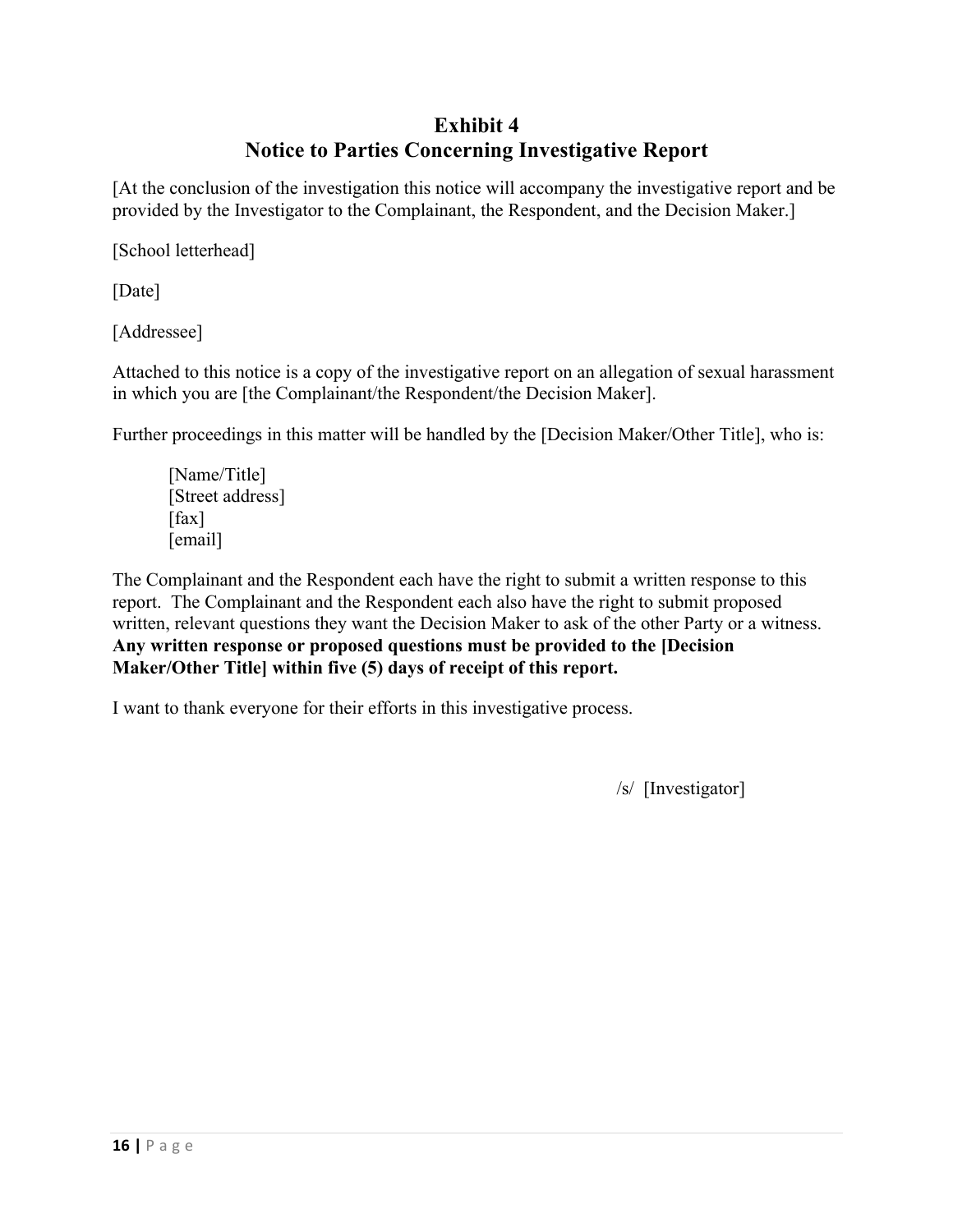## **Exhibit 4 Notice to Parties Concerning Investigative Report**

[At the conclusion of the investigation this notice will accompany the investigative report and be provided by the Investigator to the Complainant, the Respondent, and the Decision Maker.]

[School letterhead]

[Date]

[Addressee]

Attached to this notice is a copy of the investigative report on an allegation of sexual harassment in which you are [the Complainant/the Respondent/the Decision Maker].

Further proceedings in this matter will be handled by the [Decision Maker/Other Title], who is:

[Name/Title] [Street address] [fax] [email]

The Complainant and the Respondent each have the right to submit a written response to this report. The Complainant and the Respondent each also have the right to submit proposed written, relevant questions they want the Decision Maker to ask of the other Party or a witness. **Any written response or proposed questions must be provided to the [Decision Maker/Other Title] within five (5) days of receipt of this report.**

I want to thank everyone for their efforts in this investigative process.

/s/ [Investigator]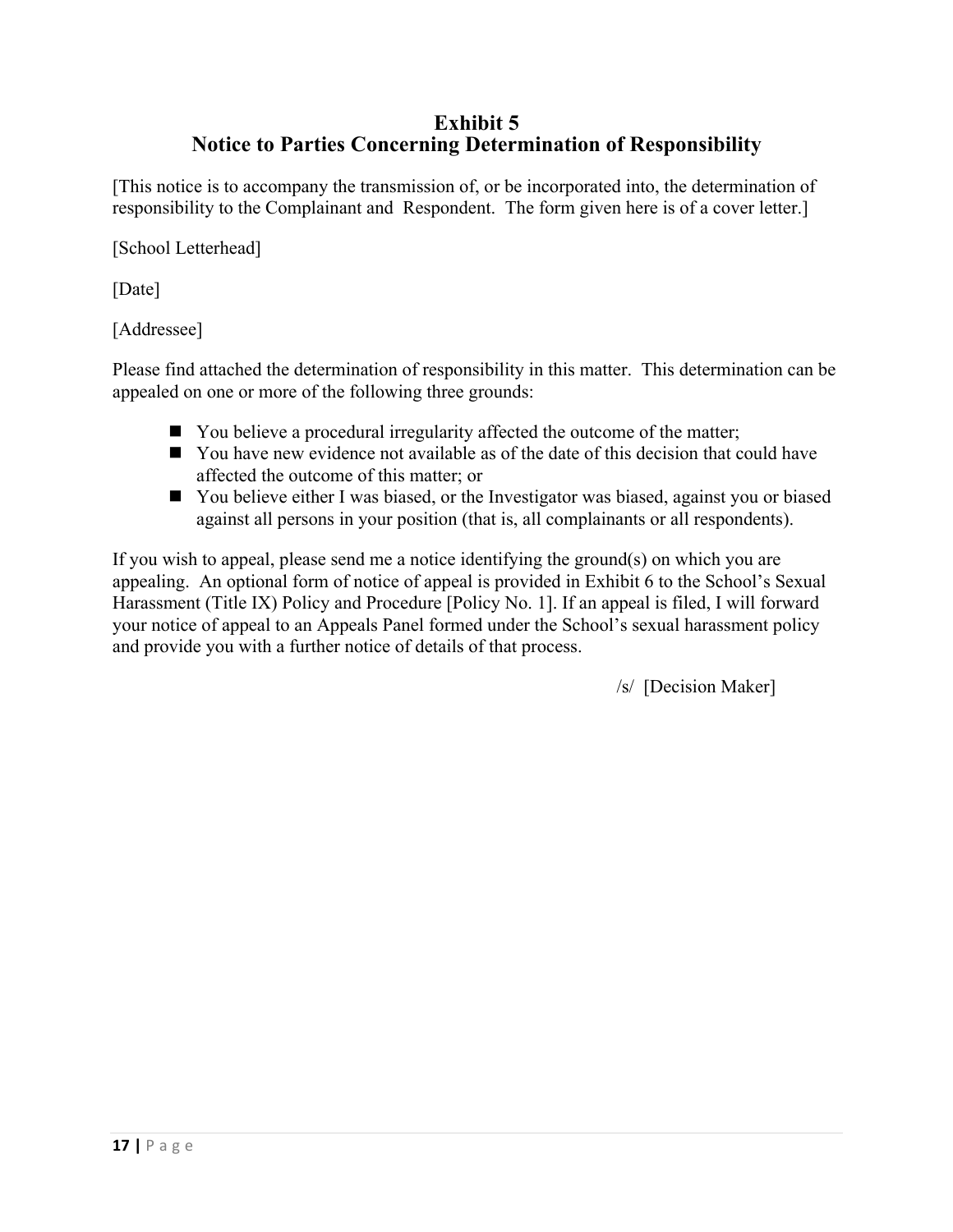## **Exhibit 5 Notice to Parties Concerning Determination of Responsibility**

[This notice is to accompany the transmission of, or be incorporated into, the determination of responsibility to the Complainant and Respondent. The form given here is of a cover letter.]

[School Letterhead]

[Date]

[Addressee]

Please find attached the determination of responsibility in this matter. This determination can be appealed on one or more of the following three grounds:

- $\blacksquare$  You believe a procedural irregularity affected the outcome of the matter;
- $\blacksquare$  You have new evidence not available as of the date of this decision that could have affected the outcome of this matter; or
- You believe either I was biased, or the Investigator was biased, against you or biased against all persons in your position (that is, all complainants or all respondents).

If you wish to appeal, please send me a notice identifying the ground(s) on which you are appealing. An optional form of notice of appeal is provided in Exhibit 6 to the School's Sexual Harassment (Title IX) Policy and Procedure [Policy No. 1]. If an appeal is filed, I will forward your notice of appeal to an Appeals Panel formed under the School's sexual harassment policy and provide you with a further notice of details of that process.

/s/ [Decision Maker]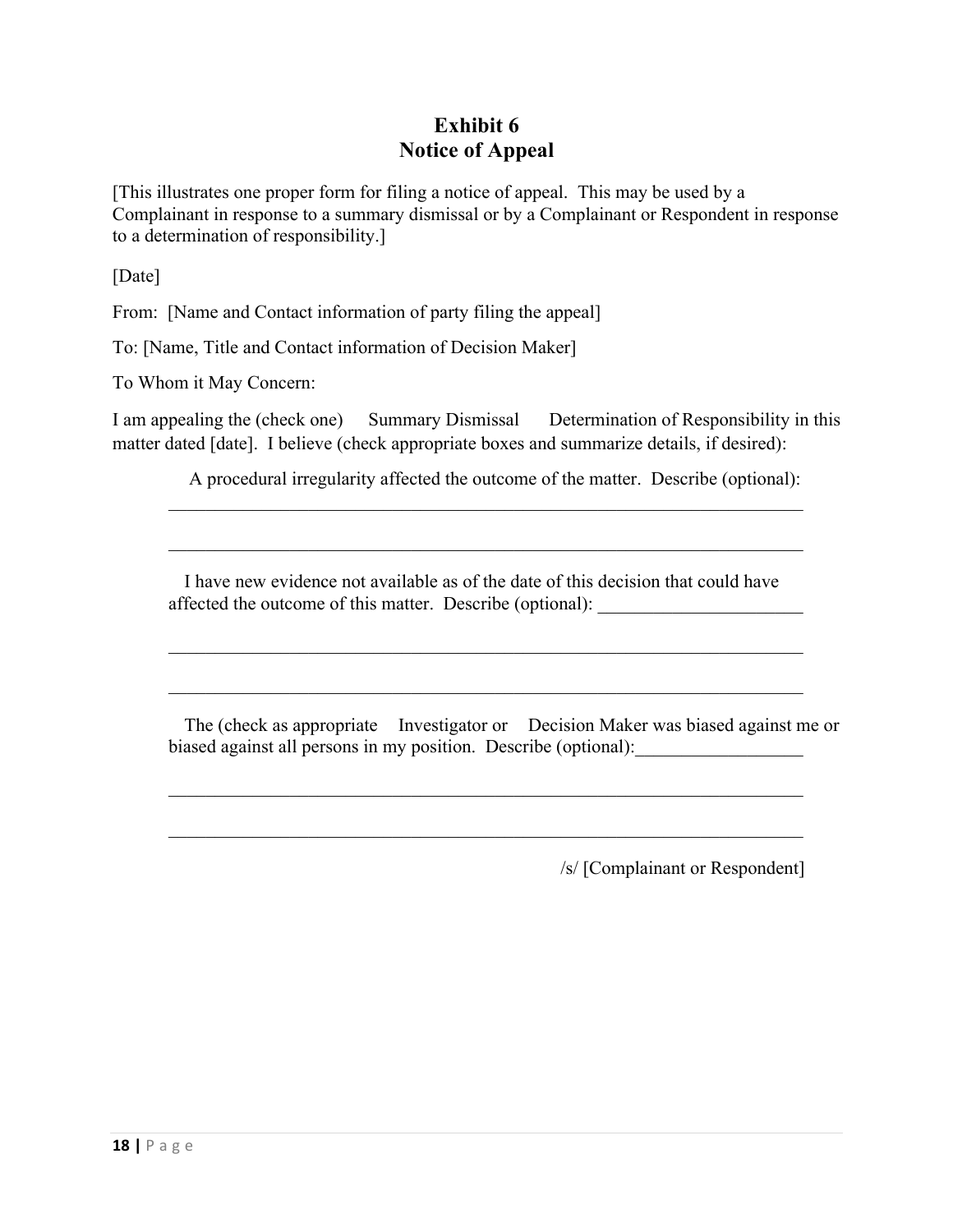## **Exhibit 6 Notice of Appeal**

[This illustrates one proper form for filing a notice of appeal. This may be used by a Complainant in response to a summary dismissal or by a Complainant or Respondent in response to a determination of responsibility.]

[Date]

From: [Name and Contact information of party filing the appeal]

To: [Name, Title and Contact information of Decision Maker]

To Whom it May Concern:

I am appealing the (check one) Summary Dismissal Determination of Responsibility in this matter dated [date]. I believe (check appropriate boxes and summarize details, if desired):

A procedural irregularity affected the outcome of the matter. Describe (optional):

 I have new evidence not available as of the date of this decision that could have affected the outcome of this matter. Describe (optional):

 The (check as appropriate Investigator or Decision Maker was biased against me or biased against all persons in my position. Describe (optional):

/s/ [Complainant or Respondent]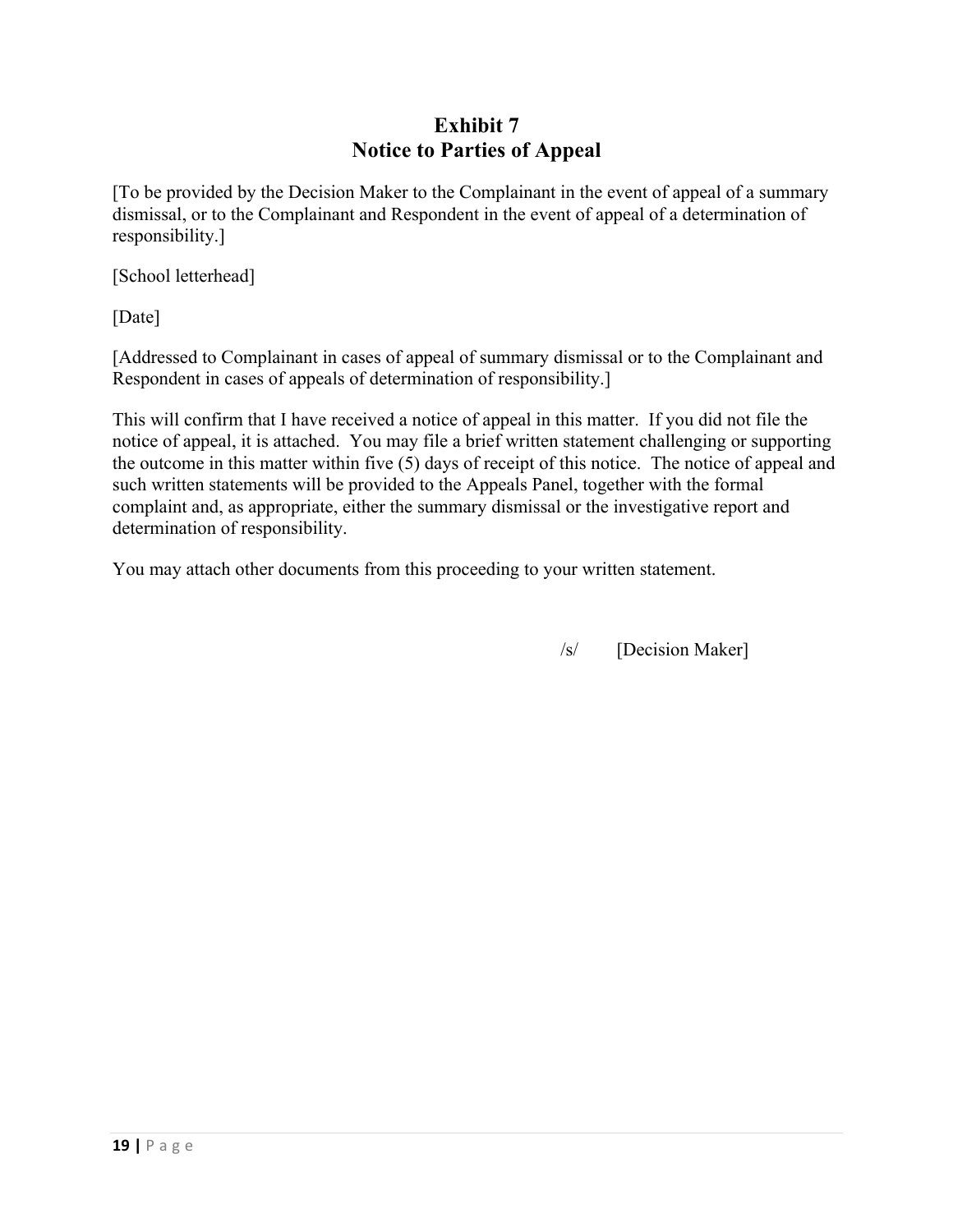## **Exhibit 7 Notice to Parties of Appeal**

[To be provided by the Decision Maker to the Complainant in the event of appeal of a summary dismissal, or to the Complainant and Respondent in the event of appeal of a determination of responsibility.]

[School letterhead]

[Date]

[Addressed to Complainant in cases of appeal of summary dismissal or to the Complainant and Respondent in cases of appeals of determination of responsibility.]

This will confirm that I have received a notice of appeal in this matter. If you did not file the notice of appeal, it is attached. You may file a brief written statement challenging or supporting the outcome in this matter within five (5) days of receipt of this notice. The notice of appeal and such written statements will be provided to the Appeals Panel, together with the formal complaint and, as appropriate, either the summary dismissal or the investigative report and determination of responsibility.

You may attach other documents from this proceeding to your written statement.

/s/ [Decision Maker]